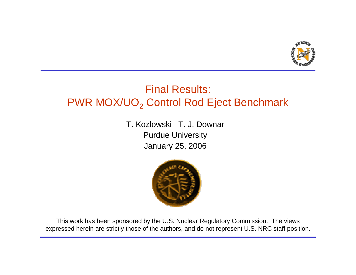

## Final Results: PWR MOX/UO $_2$  Control Rod Eject Benchmark

T. Kozlowski T. J. DownarPurdue University January 25, 2006



This work has been sponsored by the U.S. Nuclear Regulatory Commission. The views expressed herein are strictly those of the authors, and do not represent U.S. NRC staff position.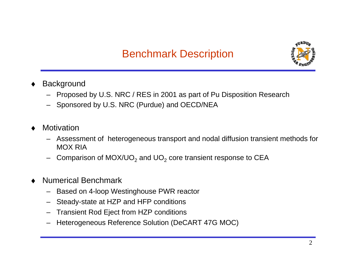

- ♦**Background** 
	- Proposed by U.S. NRC / RES in 2001 as part of Pu Disposition Research
	- Sponsored by U.S. NRC (Purdue) and O ECD/NEA
- ♦ Motivation
	- Assessment of heterogeneous transport and nodal diffusion transient methods for MOX RIA
	- Comparison of MOX/UO $_2$  and UO $_2$  core transient response to CEA
- ♦ Numerical Benchmark
	- Based on 4-loop Westinghouse PWR reactor
	- Steady-state at HZP and HFP conditions
	- Transient Rod Eject from HZP conditions
	- –Heterogeneous Reference Solution (DeCART 47G MOC)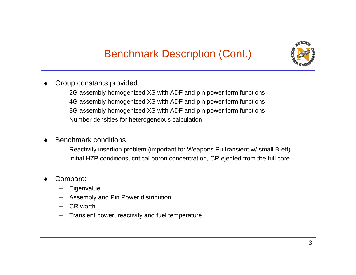

- ♦ Group constants provided
	- –2G assembly hom ogenized XS with ADF and pin power form functions
	- –4G assembly hom ogenized XS with ADF and pin power form functions
	- –8G assembly hom ogenized XS with ADF and pin power form functions
	- –Number densities for heterogeneous calculation
- ♦ Benchmark conditions
	- –Reactivity insertion problem (important for Weapons Pu transient w/ small B-eff)
	- –Initial HZP conditions, critical boron concentration, CR ejected from the full core
- ♦ Compare:
	- –**Eigenvalue**
	- –Assembl y and Pin Power distribution
	- –CR worth
	- –Transient power, reactivity and fuel temperature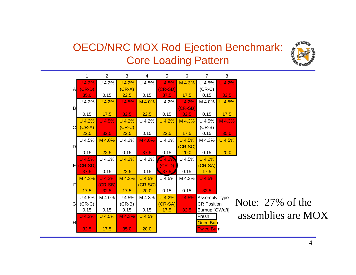## OECD/NRC MOX Rod Ejection Benchmark: Core Loading Pattern



|              | 1         | $\overline{2}$ | 3        | 4         | 5         | 6         | $\overline{7}$           | 8        |     |
|--------------|-----------|----------------|----------|-----------|-----------|-----------|--------------------------|----------|-----|
|              | $U$ 4.2%  | U 4.2%         | U 4.2%   | U 4.5%    | $U$ 4.5%  | M 4.3%    | U 4.5%                   | U 4.2%   |     |
| $\mathsf{A}$ | $(CR-D)$  |                | $(CR-A)$ |           | $(CR-SD)$ |           | $(CR-C)$                 |          |     |
|              | 35.0      | 0.15           | 22.5     | 0.15      | 37.5      | 17.5      | 0.15                     | 32.5     |     |
|              | U 4.2%    | U 4.2%         | U 4.5%   | M 4.0%    | U 4.2%    | $U$ 4.2%  | M 4.0%                   | U 4.5%   |     |
| $\mathsf B$  |           |                |          |           |           | $(CR-SB)$ |                          |          |     |
|              | 0.15      | 17.5           | 32.5     | 22.5      | 0.15      | 32.5      | 0.15                     | 17.5     |     |
|              | U 4.2%    | $U$ 4.5%       | U 4.2%   | U 4.2%    | U 4.2%    | M 4.3%    | U 4.5%                   | $M$ 4.3% |     |
| C            | $(CR-A)$  |                | $(CR-C)$ |           |           |           | $(CR-B)$                 |          |     |
|              | 22.5      | 32.5           | 22.5     | 0.15      | 22.5      | 17.5      | 0.15                     | 35.0     |     |
|              | U 4.5%    | M 4.0%         | U 4.2%   | M 4.0%    | U 4.2%    | U 4.5%    | M 4.3%                   | U 4.5%   |     |
| D            |           |                |          |           |           | $(CR-SC)$ |                          |          |     |
|              | 0.15      | 22.5           | 0.15     | 37.5      | 0.15      | 20.0      | 0.15                     | 20.0     |     |
|              | U 4.5%    | U 4.2%         | U 4.2%   | U 4.2%    | 4.2%      | U 4.5%    | U 4.2%                   |          |     |
| E            | $(CR-SD)$ |                |          |           | $(CR-D)$  |           | $(CR-SA)$                |          |     |
|              | 37.5      | 0.15           | 22.5     | 0.15      | 37.5      | 0.15      | 17.5                     |          |     |
|              | M 4.3%    | $U$ 4.2%       | M 4.3%   | U 4.5%    | U 4.5%    | M 4.3%    | U 4.5%                   |          |     |
| F            |           | CR-SB)         |          | $(CR-SC)$ |           |           |                          |          |     |
|              | 17.5      | 32.5           | 17.5     | 20.0      | 0.15      | 0.15      | 32.5                     |          |     |
|              | U 4.5%    | M 4.0%         | U 4.5%   | M 4.3%    | U 4.2%    | $U$ 4.5%  | Assembly Type            |          |     |
| G            | $(CR-C)$  |                | $(CR-B)$ |           | $(CR-SA)$ |           | <b>CR Position</b>       |          | No  |
|              | 0.15      | 0.15           | 0.15     | 0.15      | 17.5      | 32.5      | Burnup [GWd/t]           |          |     |
|              | $U$ 4.2%  | U 4.5%         | M 4.3%   | U 4.5%    |           |           | Fresh                    |          | as: |
| H            |           |                |          |           |           |           | Once Burn                |          |     |
|              | 32.5      | 17.5           | 35.0     | 20.0      |           |           | Twice Bu <mark>rn</mark> |          |     |

te:  $27\%$  of the semblies are MOX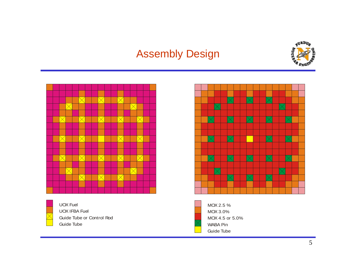## Assembly Design







UOX FuelUOX IFBA FuelGuide Tube or Control Rod Guide Tube



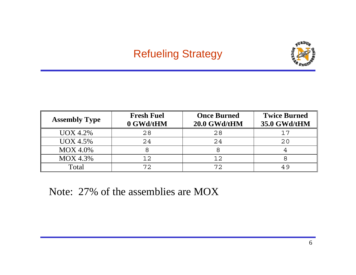## Refueling Strategy



| <b>Assembly Type</b> | <b>Fresh Fuel</b><br>0 GWd/tHM | <b>Once Burned</b><br>20.0 GWd/tHM | <b>Twice Burned</b><br>35.0 GWd/tHM |  |
|----------------------|--------------------------------|------------------------------------|-------------------------------------|--|
| <b>UOX 4.2%</b>      | 28                             | 28                                 | 17                                  |  |
| <b>UOX 4.5%</b>      | 24                             | 24                                 | 20                                  |  |
| <b>MOX 4.0%</b>      |                                |                                    |                                     |  |
| <b>MOX 4.3%</b>      | 12                             | 12                                 |                                     |  |
| Total                | 72                             | 72                                 | 49                                  |  |

Note: 27% of the assemblies are MOX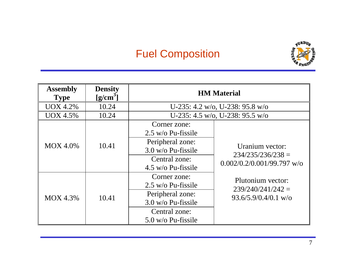# Fuel Composition



| <b>Assembly</b><br><b>Type</b> | <b>Density</b><br>$[g/cm^3]$                                                                                                   |                                                                                                                         | <b>HM</b> Material                                                     |
|--------------------------------|--------------------------------------------------------------------------------------------------------------------------------|-------------------------------------------------------------------------------------------------------------------------|------------------------------------------------------------------------|
| <b>UOX 4.2%</b>                | 10.24                                                                                                                          |                                                                                                                         | U-235: 4.2 w/o, U-238: 95.8 w/o                                        |
| <b>UOX 4.5%</b>                | 10.24                                                                                                                          |                                                                                                                         | U-235: 4.5 w/o, U-238: 95.5 w/o                                        |
| <b>MOX 4.0%</b>                | 10.41                                                                                                                          | Corner zone:<br>2.5 w/o Pu-fissile<br>Peripheral zone:<br>$3.0$ w/o Pu-fissile<br>Central zone:<br>$4.5$ w/o Pu-fissile | Uranium vector:<br>$234/235/236/238 =$<br>$0.002/0.2/0.001/99.797$ w/o |
| <b>MOX 4.3%</b>                | Corner zone:<br>$2.5$ w/o Pu-fissile<br>Peripheral zone:<br>10.41<br>3.0 w/o Pu-fissile<br>Central zone:<br>5.0 w/o Pu-fissile |                                                                                                                         | Plutonium vector:<br>$239/240/241/242 =$<br>$93.6/5.9/0.4/0.1$ w/o     |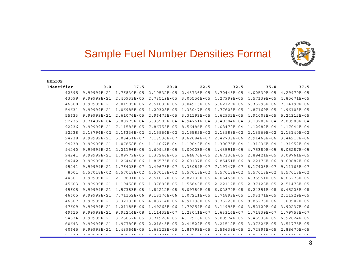

| C<br>£LI( |  |
|-----------|--|
|-----------|--|

| Identifier | 0.0         | 17.5        | 20.0        | 22.5                                | 32.5               | 35.0               | 37.5               |
|------------|-------------|-------------|-------------|-------------------------------------|--------------------|--------------------|--------------------|
| 42595      | 9.99999E-21 | 1.76830E-05 | 2.10532E-05 | 2.43736E-05                         | 3.70448E-05        | 4.00530E-05        | 4.29970E-05        |
| 43599      | 9.99999E-21 | 2.40933E-05 | 2.73519E-05 | $3.05554E - 05$                     | 4.27999E-05        | 4.57139E-05        | 4.85671E-05        |
| 46608      | 9.99999E-21 | 2.01585E-06 | 2.51039E-06 | 3.04915E-06                         | 5.62129E-06        | 6.36298E-06        | 7.14199E-06        |
| 54631      | 9.99999E-21 | 1.06985E-05 | 1.20328E-05 | 1.33047E-05                         | 1.77608E-05        | 1.87169E-05        | 1.96103E-05        |
| 55633      | 9.99999E-21 | 2.61076E-05 | 2.96475E-05 | 3.31193E-05                         | 4.62932E-05        | 4.94008E-05        | 5.24312E-05        |
| 92235      | 9.71492E-04 | 5.80775E-04 | 5.36589E-04 | 4.94761E-04                         | 3.49384E-04        | 3.18203E-04        | 2.88980E-04        |
| 92236      | 9.99999E-21 | 7.11583E-05 | 7.86753E-05 | 8.56486E-05                         | 1.08470E-04        | 1.12982E-04        | 1.17044E-04        |
| 92238      | 2.18794E-02 | 2.16336E-02 | 2.15964E-02 | 2.15585E-02                         | 2.13988E-02        | 2.13569E-02        | 2.13140E-02        |
| 94238      | 9.99999E-21 | 5.08451E-07 | 7.13536E-07 | 9.62084E-07                         | 2.42733E-06        | 2.91468E-06        | 3.44917E-06        |
| 94239      | 9.99999E-21 | 1.07858E-04 | 1.14067E-04 | 1.19049E-04                         | 1.30075E-04        | 1.31236E-04        | 1.31952E-04        |
| 94240      | 9.99999E-21 | 2.21196E-05 | 2.60945E-05 | $3.00003E-05$                       | 4.43591E-05        | 4.75380E-05        | 5.05287E-05        |
| 94241      | 9.99999E-21 | 1.09779E-05 | 1.37246E-05 | 1.64876E-05                         | 2.67336E-05        | 2.89421E-05        | 3.09761E-05        |
| 94242      | 9.99999E-21 | 1.26448E-06 | 1.86575E-06 | 2.60137E-06                         | $6.85451E-06$      | 8.22176E-06        | 9.69682E-06        |
| 95241      | 9.99999E-21 | 1.76423E-07 | 2.49678E-07 | 3.33089E-07                         | 7.19747E-07        | 8.17423E-07        | 9.11165E-07        |
| 8001       | 4.57018E-02 | 4.57018E-02 | 4.57018E-02 | 4.57018E-02                         | 4.57018E-02        | 4.57018E-02        | 4.57018E-02        |
| 44601      | 9.99999E-21 | 2.19801E-05 | 2.51017E-05 | 2.82139E-05                         | 4.05465E-05        | 4.35951E-05        | 4.66278E-05        |
| 45603      | 9.99999E-21 | 1.19458E-05 | 1.37890E-05 | 1.55849E-05                         | 2.22112E-05        | 2.37128E-05        | 2.51478E-05        |
| 45605      | 9.99999E-21 | 4.57383E-08 | 4.84212E-08 | 5.09780E-08                         | $6.02870E-08$      | 6.24351E-08        | 6.45223E-08        |
| 46605      | 9.99999E-21 | 7.71152E-06 | 9.18176E-06 | 1.07211E-05                         | 1.74893E-05        | 1.93171E-05        | 2.11929E-05        |
| 46607      | 9.99999E-21 | 3.32193E-06 | 4.08714E-06 | 4.91198E-06                         | 8.76228E-06        | 9.85276E-06        | 1.09907E-05        |
| 47609      | 9.99999E-21 | 1.21185E-06 | 1.49268E-06 | 1.79259E-06                         | 3.14995E-06        | 3.52120E-06        | 3.90237E-06        |
| 49615      | 9.99999E-21 | 9.92244E-08 | 1.11432E-07 | 1.23041E-07                         | 1.63316E-07        | 1.71839E-07        | 1.79758E-07        |
| 54634      | 9.99999E-21 | 3.25852E-05 | 3.71928E-05 | 4.17910E-05                         | $6.00974E-05$      | 6.46538E-05        | 6.92024E-05        |
| 60643      | 9.99999E-21 | 1.97780E-05 | 2.21845E-05 | 2.44529E-05                         | 3.21512E-05        | 3.37326E-05        | 3.51775E-05        |
| 60645      | 9.99999E-21 | 1.48964E-05 | 1.68123E-05 | 1.86793E-05                         | 2.56639E-05        | 2.72896E-05        | 2.88670E-05        |
| C1C17      | a agaagta a | E ONN11E NE |             | $C$ $C$ $7$ $0$ $C$ $D$ $D$ $D$ $C$ | <b>T COOLER OF</b> | <b>B</b> COOCID AC | <b>B</b> AABCOB AC |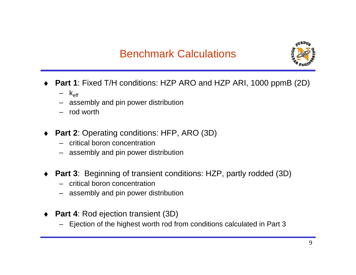## Benchmark Calculations



- ♦ **Part 1**: Fixed T/H conditions: HZP ARO and HZP ARI, 1000 ppmB (2D)
	- k<sub>eff</sub>
	- assembly and pin power distribution
	- rod worth
- ♦ **Part 2**: Operating conditions: HFP, ARO (3D)
	- –critical boron concentration
	- assembly and pin power distribution
- ♦ **Part 3**: Beginning of transient conditions: HZP, partly rodded (3D)
	- –critical boron concentration
	- assembly and pin power distribution
- ♦ **Part 4**: Rod ejection transient (3D)
	- Ejection of the highest worth rod from conditions calculated in Part 3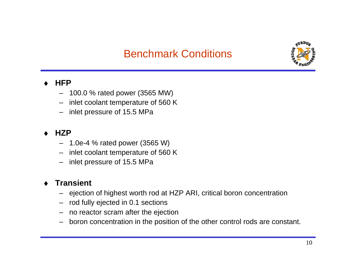## Benchmark Conditions



#### ♦**HFP**

- 100.0 % rated power (3565 MW)
- inlet coolant temperature of 560 K
- –inlet pressure of 15.5 MPa

#### ♦**HZP**

- 1.0e-4 % rated power (3565 W)
- –inlet coolant temperature of 560 K
- inlet pressure of 15.5 MPa

#### ♦**Transient**

- ejection of highest worth rod at HZP ARI, critical boron concentration
- rod fully ejected in 0.1 sections
- –no reactor scram after the ejection
- boron concentr ation in the position of the other control rods are constant.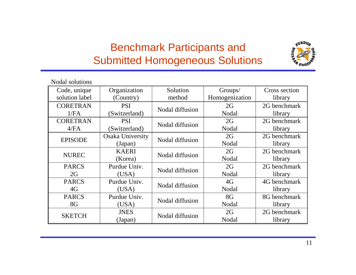## Benchmark Participants and Submitted Homogeneous Solutions



| Nodal solutions |                  |                 |                |               |
|-----------------|------------------|-----------------|----------------|---------------|
| Code, unique    | Organization     | Solution        | Groups/        | Cross section |
| solution label  | (Country)        |                 | Homogenization | library       |
| <b>CORETRAN</b> | <b>PSI</b>       | Nodal diffusion | 2G             | 2G benchmark  |
| 1/FA            | (Switzerland)    |                 | Nodal          | library       |
| <b>CORETRAN</b> | <b>PSI</b>       | Nodal diffusion | 2G             | 2G benchmark  |
| 4/FA            | (Switzerland)    |                 | Nodal          | library       |
| <b>EPISODE</b>  | Osaka University | Nodal diffusion | 2G             | 2G benchmark  |
|                 | (Japan)          |                 | Nodal          | library       |
| <b>NUREC</b>    | <b>KAERI</b>     | Nodal diffusion | 2G             | 2G benchmark  |
|                 | (Korea)          |                 | Nodal          | library       |
| <b>PARCS</b>    | Purdue Univ.     | Nodal diffusion | 2G             | 2G benchmark  |
| 2G              | (USA)            |                 | Nodal          | library       |
| <b>PARCS</b>    | Purdue Univ.     | Nodal diffusion | 4G             | 4G benchmark  |
| 4G              | (USA)            |                 | Nodal          | library       |
| <b>PARCS</b>    | Purdue Univ.     | Nodal diffusion | 8G             | 8G benchmark  |
| 8G              | (USA)            |                 | Nodal          | library       |
| <b>SKETCH</b>   | <b>JNES</b>      | Nodal diffusion | 2G             | 2G benchmark  |
|                 | (Japan)          |                 | Nodal          | library       |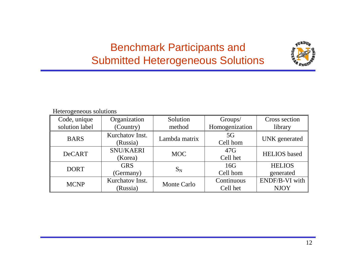## Benchmark Participants and Submitted Heterogeneous Solutions



#### Heterogeneous sol utions

| Code, unique<br>solution label | Organization<br>(Country)   | Solution<br>method | Groups/<br>Homogenization | Cross section<br>library      |
|--------------------------------|-----------------------------|--------------------|---------------------------|-------------------------------|
| <b>BARS</b>                    | Kurchatov Inst.<br>(Russia) | Lambda matrix      | 5G<br>Cell hom            | <b>UNK</b> generated          |
| <b>DeCART</b>                  | <b>SNU/KAERI</b><br>(Korea) | <b>MOC</b>         | 47G<br>Cell het           | <b>HELIOS</b> based           |
| <b>DORT</b>                    | <b>GRS</b><br>(Germany)     | $S_N$              | 16G<br>Cell hom           | <b>HELIOS</b><br>generated    |
| <b>MCNP</b>                    | Kurchatov Inst.<br>(Russia) | Monte Carlo        | Continuous<br>Cell het    | ENDF/B-VI with<br><b>NJOY</b> |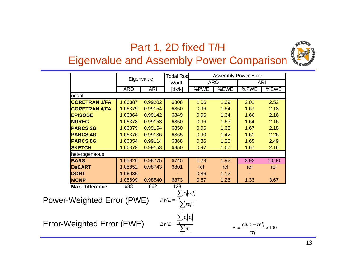## Part 1, 2D fixed T/H



## Eigenvalue and Assembly Power Comparison

|                                   |                      |            | Eigenvalue | <b>Todal Rod</b>                          |      |            | <b>Assembly Power Error</b> |            |
|-----------------------------------|----------------------|------------|------------|-------------------------------------------|------|------------|-----------------------------|------------|
|                                   |                      |            |            | Worth                                     |      | <b>ARO</b> |                             | <b>ARI</b> |
|                                   |                      | <b>ARO</b> | <b>ARI</b> | [dk/k]                                    | %PWE | %EWE       | %PWE                        | %EWE       |
| nodal                             |                      |            |            |                                           |      |            |                             |            |
|                                   | <b>CORETRAN 1/FA</b> | 1.06387    | 0.99202    | 6808                                      | 1.06 | 1.69       | 2.01                        | 2.52       |
|                                   | <b>CORETRAN 4/FA</b> | 1.06379    | 0.99154    | 6850                                      | 0.96 | 1.64       | 1.67                        | 2.18       |
| <b>EPISODE</b>                    |                      | 1.06364    | 0.99142    | 6849                                      | 0.96 | 1.64       | 1.66                        | 2.16       |
| <b>NUREC</b>                      |                      | 1.06378    | 0.99153    | 6850                                      | 0.96 | 1.63       | 1.64                        | 2.16       |
| <b>PARCS 2G</b>                   |                      | 1.06379    | 0.99154    | 6850                                      | 0.96 | 1.63       | 1.67                        | 2.18       |
| <b>PARCS 4G</b>                   |                      | 1.06376    | 0.99136    | 6865                                      | 0.90 | 1.42       | 1.61                        | 2.26       |
| <b>PARCS 8G</b>                   |                      | 1.06354    | 0.99114    | 6868                                      | 0.86 | 1.25       | 1.65                        | 2.49       |
| <b>SKETCH</b>                     |                      | 1.06379    | 0.99153    | 6850                                      | 0.97 | 1.67       | 1.67                        | 2.16       |
| heterogeneous                     |                      |            |            |                                           |      |            |                             |            |
| <b>BARS</b>                       |                      | 1.05826    | 0.98775    | 6745                                      | 1.29 | 1.92       | 3.92                        | 10.30      |
| <b>DeCART</b>                     |                      | 1.05852    | 0.98743    | 6801                                      | ref  | ref        | ref                         | ref        |
| <b>DORT</b>                       |                      | 1.06036    |            |                                           | 0.86 | 1.12       |                             |            |
| <b>MCNP</b>                       |                      | 1.05699    | 0.98540    | 6873                                      | 0.67 | 1.26       | 1.33                        | 3.67       |
|                                   | Max. difference      | 688        | 662        | 128                                       |      |            |                             |            |
|                                   |                      |            |            | $\sum  e_i  ref_i$                        |      |            |                             |            |
| <b>Power-Weighted Error (PWE)</b> |                      |            |            | $PWE = \frac{\overline{E_i}}{\sum ref_i}$ |      |            |                             |            |
|                                   |                      |            |            |                                           |      |            |                             |            |
|                                   |                      |            |            |                                           |      |            |                             |            |
|                                   |                      |            |            | $\sum_{i}  e_{i}  e_{i}$                  |      |            |                             |            |

∑

*iie*

 $EWE = -\frac{i}{2}$ 

Error-Weighted Error (EWE)

$$
e_i = \frac{calc_i - ref_i}{ref_i} \times 100
$$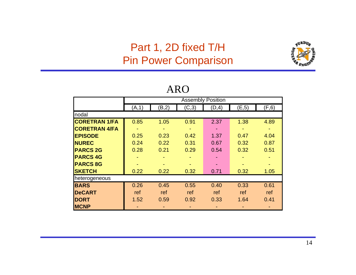## Part 1, 2D fixed T/H Pin Power Comparison



|                      |        |       |       | <b>Assembly Position</b> |        |        |
|----------------------|--------|-------|-------|--------------------------|--------|--------|
|                      | (A, 1) | (B,2) | (C,3) | (D, 4)                   | (E, 5) | (F, 6) |
| nodal                |        |       |       |                          |        |        |
| <b>CORETRAN 1/FA</b> | 0.85   | 1.05  | 0.91  | 2.37                     | 1.38   | 4.89   |
| <b>CORETRAN 4/FA</b> |        |       |       |                          |        |        |
| <b>EPISODE</b>       | 0.25   | 0.23  | 0.42  | 1.37                     | 0.47   | 4.04   |
| <b>NUREC</b>         | 0.24   | 0.22  | 0.31  | 0.67                     | 0.32   | 0.87   |
| <b>PARCS 2G</b>      | 0.28   | 0.21  | 0.29  | 0.54                     | 0.32   | 0.51   |
| <b>PARCS 4G</b>      |        | ۰     |       |                          |        |        |
| <b>PARCS 8G</b>      |        |       |       |                          |        |        |
| <b>SKETCH</b>        | 0.22   | 0.22  | 0.32  | 0.71                     | 0.32   | 1.05   |
| heterogeneous        |        |       |       |                          |        |        |
| <b>BARS</b>          | 0.26   | 0.45  | 0.55  | 0.40                     | 0.33   | 0.61   |
| <b>DeCART</b>        | ref    | ref   | ref   | ref                      | ref    | ref    |
| <b>DORT</b>          | 1.52   | 0.59  | 0.92  | 0.33                     | 1.64   | 0.41   |
| <b>MCNP</b>          |        |       |       |                          |        |        |

### ARO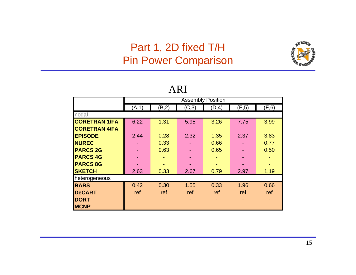## Part 1, 2D fixed T/H Pin Power Comparison



|                      | <b>Assembly Position</b> |       |       |       |        |        |  |  |  |  |
|----------------------|--------------------------|-------|-------|-------|--------|--------|--|--|--|--|
|                      |                          |       |       |       |        |        |  |  |  |  |
|                      | (A, 1)                   | (B,2) | (C,3) | (D,4) | (E, 5) | (F, 6) |  |  |  |  |
| nodal                |                          |       |       |       |        |        |  |  |  |  |
| <b>CORETRAN 1/FA</b> | 6.22                     | 1.31  | 5.95  | 3.26  | 7.75   | 3.99   |  |  |  |  |
| <b>CORETRAN 4/FA</b> |                          | ٠     |       |       |        | ٠      |  |  |  |  |
| <b>EPISODE</b>       | 2.44                     | 0.28  | 2.32  | 1.35  | 2.37   | 3.83   |  |  |  |  |
| <b>NUREC</b>         |                          | 0.33  |       | 0.66  |        | 0.77   |  |  |  |  |
| <b>PARCS 2G</b>      |                          | 0.63  |       | 0.65  |        | 0.50   |  |  |  |  |
| <b>PARCS 4G</b>      |                          |       |       |       |        |        |  |  |  |  |
| <b>PARCS 8G</b>      |                          |       |       |       |        |        |  |  |  |  |
| <b>SKETCH</b>        | 2.63                     | 0.33  | 2.67  | 0.79  | 2.97   | 1.19   |  |  |  |  |
| heterogeneous        |                          |       |       |       |        |        |  |  |  |  |
| <b>BARS</b>          | 0.42                     | 0.30  | 1.55  | 0.33  | 1.96   | 0.66   |  |  |  |  |
| <b>DeCART</b>        | ref                      | ref   | ref   | ref   | ref    | ref    |  |  |  |  |
| <b>DORT</b>          |                          |       |       |       |        |        |  |  |  |  |
| <b>MCNP</b>          |                          |       |       |       |        |        |  |  |  |  |

#### ARI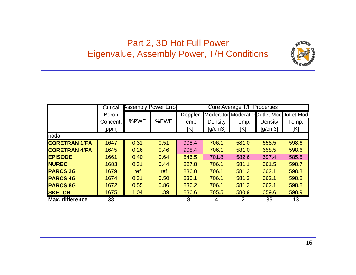## Part 2, 3D Hot Full Power Eigenvalue, Assembly Power, T/H Conditions



|                      | Critical     |      | <b>Assembly Power Errol</b> |         |         | Core Average T/H Properties |                                            |       |
|----------------------|--------------|------|-----------------------------|---------|---------|-----------------------------|--------------------------------------------|-------|
|                      | <b>Boron</b> |      |                             | Doppler |         |                             | Moderator Moderator Dutlet Mod Dutlet Mod. |       |
|                      | Concent.     | %PWE | %EWE                        | Temp.   | Density | Temp.                       | Density                                    | Temp. |
|                      | [ppm]        |      |                             | [K]     | [g/cm3] | [K]                         | [g/cm3]                                    | [K]   |
| nodal                |              |      |                             |         |         |                             |                                            |       |
| <b>CORETRAN 1/FA</b> | 1647         | 0.31 | 0.51                        | 908.4   | 706.1   | 581.0                       | 658.5                                      | 598.6 |
| <b>CORETRAN 4/FA</b> | 1645         | 0.26 | 0.46                        | 908.4   | 706.1   | 581.0                       | 658.5                                      | 598.6 |
| <b>IEPISODE</b>      | 1661         | 0.40 | 0.64                        | 846.5   | 701.8   | 582.6                       | 697.4                                      | 585.5 |
| <b>INUREC</b>        | 1683         | 0.31 | 0.44                        | 827.8   | 706.1   | 581.1                       | 661.5                                      | 598.7 |
| <b>PARCS 2G</b>      | 1679         | ref  | ref                         | 836.0   | 706.1   | 581.3                       | 662.1                                      | 598.8 |
| <b>PARCS 4G</b>      | 1674         | 0.31 | 0.50                        | 836.1   | 706.1   | 581.3                       | 662.1                                      | 598.8 |
| <b>PARCS 8G</b>      | 1672         | 0.55 | 0.86                        | 836.2   | 706.1   | 581.3                       | 662.1                                      | 598.8 |
| <b>SKETCH</b>        | 1675         | 1.04 | 1.39                        | 836.6   | 705.5   | 580.9                       | 659.6                                      | 598.9 |
| Max. difference      | 38           |      |                             | 81      | 4       | 2                           | 39                                         | 13    |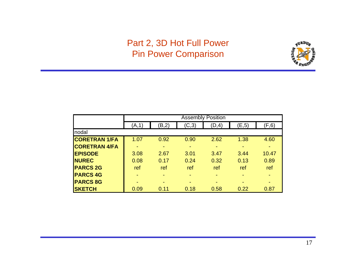### Part 2, 3D Hot Full Power Pin Power Comparison



|                      |       | <b>Assembly Position</b> |       |       |        |        |  |  |  |
|----------------------|-------|--------------------------|-------|-------|--------|--------|--|--|--|
|                      | (A,1) | (B, 2)                   | (C,3) | (D,4) | (E, 5) | (F, 6) |  |  |  |
| nodal                |       |                          |       |       |        |        |  |  |  |
| <b>CORETRAN 1/FA</b> | 1.07  | 0.92                     | 0.90  | 2.62  | 1.38   | 4.60   |  |  |  |
| <b>CORETRAN 4/FA</b> |       | $\overline{\phantom{a}}$ |       |       |        |        |  |  |  |
| <b>EPISODE</b>       | 3.08  | 2.67                     | 3.01  | 3.47  | 3.44   | 10.47  |  |  |  |
| <b>NUREC</b>         | 0.08  | 0.17                     | 0.24  | 0.32  | 0.13   | 0.89   |  |  |  |
| <b>PARCS 2G</b>      | ref   | ref                      | ref   | ref   | ref    | ref    |  |  |  |
| <b>PARCS 4G</b>      |       | $\overline{\phantom{0}}$ |       |       |        |        |  |  |  |
| <b>PARCS 8G</b>      |       | ۰                        |       |       |        |        |  |  |  |
| <b>SKETCH</b>        | 0.09  | 0.11                     | 0.18  | 0.58  | 0.22   | 0.87   |  |  |  |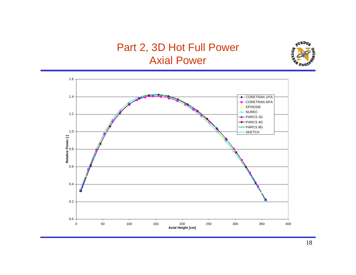## Part 2, 3D Hot Full Power Axial Power



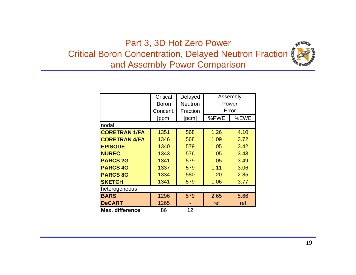## Part 3, 3D Hot Zero Power Critical Boron Concentration, Delayed Neutron Fraction and Assembly Power Comparison



|                      | Critical     | Delayed        | Assembly<br>Power |      |  |  |  |  |
|----------------------|--------------|----------------|-------------------|------|--|--|--|--|
|                      | <b>Boron</b> | <b>Neutron</b> |                   |      |  |  |  |  |
|                      | Concent.     | Fraction       | Error             |      |  |  |  |  |
|                      | [ppm]        | [pcm]          | %PWE              | %EWE |  |  |  |  |
| nodal                |              |                |                   |      |  |  |  |  |
| <b>CORETRAN 1/FA</b> | 1351         | 568            | 1.26              | 4.10 |  |  |  |  |
| <b>CORETRAN 4/FA</b> | 1346         | 568            | 1.09              | 3.72 |  |  |  |  |
| <b>EPISODE</b>       | 1340         | 579            | 1.05              | 3.42 |  |  |  |  |
| <b>NUREC</b>         | 1343         | 576            | 1.05              | 3.43 |  |  |  |  |
| <b>PARCS 2G</b>      | 1341         | 579            | 1.05              | 3.49 |  |  |  |  |
| <b>PARCS 4G</b>      | 1337         | 579            | 1.11              | 3.06 |  |  |  |  |
| <b>PARCS 8G</b>      | 1334         | 580            | 1.20              | 2.85 |  |  |  |  |
| <b>SKETCH</b>        | 1341         | 579            | 1.06              | 3.77 |  |  |  |  |
| heterogeneous        |              |                |                   |      |  |  |  |  |
| <b>BARS</b>          | 1296         | 579            | 2.65              | 5.66 |  |  |  |  |
| <b>DeCART</b>        | 1265         |                | ref               | ref  |  |  |  |  |
| Max. difference      | 86           | 12             |                   |      |  |  |  |  |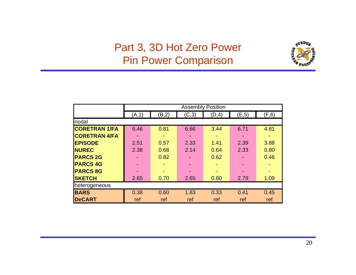## Part 3, 3D Hot Zero Power Pin Power Comparison



|                      | <b>Assembly Position</b> |       |       |        |       |       |  |
|----------------------|--------------------------|-------|-------|--------|-------|-------|--|
|                      | (A, 1)                   | (B,2) | (C,3) | (D, 4) | (E,5) | (F,6) |  |
| nodal                |                          |       |       |        |       |       |  |
| <b>CORETRAN 1/FA</b> | 6.46                     | 0.81  | 6.66  | 3.44   | 6.71  | 4.81  |  |
| <b>CORETRAN 4/FA</b> |                          |       |       |        |       |       |  |
| <b>EPISODE</b>       | 2.51                     | 0.57  | 2.33  | 1.41   | 2.39  | 3.88  |  |
| <b>NUREC</b>         | 2.38                     | 0.68  | 2.14  | 0.64   | 2.33  | 0.80  |  |
| <b>PARCS 2G</b>      |                          | 0.82  |       | 0.62   |       | 0.46  |  |
| <b>PARCS 4G</b>      |                          |       |       |        |       |       |  |
| <b>PARCS 8G</b>      |                          |       |       |        |       |       |  |
| <b>SKETCH</b>        | 2.65                     | 0.70  | 2.65  | 0.80   | 2.79  | 1.09  |  |
| heterogeneous        |                          |       |       |        |       |       |  |
| <b>BARS</b>          | 0.38                     | 0.60  | 1.83  | 0.33   | 0.41  | 0.45  |  |
| <b>DeCART</b>        | ref                      | ref   | ref   | ref    | ref   | ref   |  |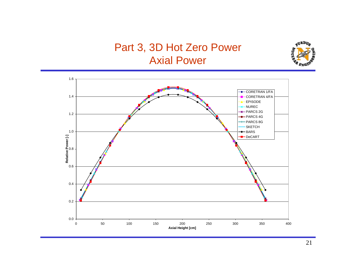## Part 3, 3D Hot Zero Power Axial Power



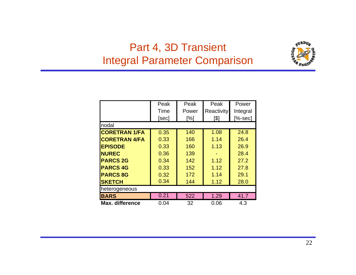## Part 4, 3D Transient Integral Parameter Comparison



|                        | Peak  | Peak  | Peak              | Power     |  |  |  |  |
|------------------------|-------|-------|-------------------|-----------|--|--|--|--|
|                        | Time  | Power | <b>Reactivity</b> | Integral  |  |  |  |  |
|                        | [sec] | [%]   | [\$]              | $[%-sec]$ |  |  |  |  |
| nodal                  |       |       |                   |           |  |  |  |  |
| <b>CORETRAN 1/FA</b>   | 0.35  | 140   | 1.08              | 24.8      |  |  |  |  |
| <b>CORETRAN 4/FA</b>   | 0.33  | 166   | 1.14              | 26.4      |  |  |  |  |
| <b>EPISODE</b>         | 0.33  | 160   | 1.13              | 26.9      |  |  |  |  |
| <b>NUREC</b>           | 0.36  | 139   |                   | 28.4      |  |  |  |  |
| <b>PARCS 2G</b>        | 0.34  | 142   | 1.12              | 27.2      |  |  |  |  |
| <b>PARCS 4G</b>        | 0.33  | 152   | 1.12              | 27.8      |  |  |  |  |
| <b>PARCS 8G</b>        | 0.32  | 172   | 1.14              | 29.1      |  |  |  |  |
| <b>SKETCH</b>          | 0.34  | 144   | 1.12              | 28.0      |  |  |  |  |
| heterogeneous          |       |       |                   |           |  |  |  |  |
| <b>BARS</b>            | 0.21  | 522   | 1.29              | 41.7      |  |  |  |  |
| <b>Max. difference</b> | 0.04  | 32    | 0.06              | 4.3       |  |  |  |  |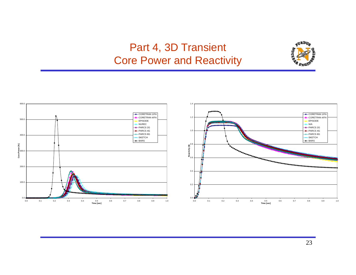## Part 4, 3D Transient Core Power and Reactivity



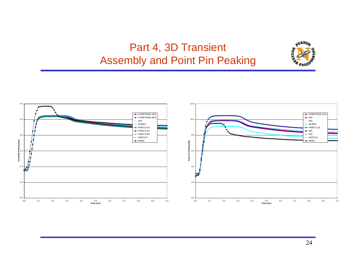## Part 4, 3D Transient Assembly and Point Pin Peaking



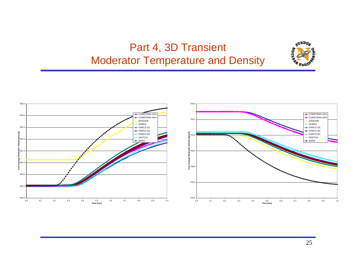## Part 4, 3D Transient Moderator Temperature and Density





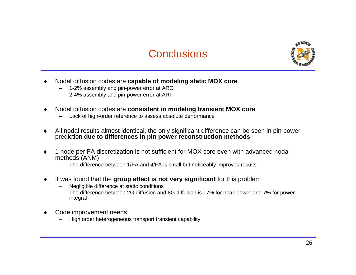



- ♦ Nodal diffusion codes are **capable of modeling static MOX core**
	- 1-2% assembly and pin-power error at ARO
	- 2-4% assembly and pin-power error at ARI
- ♦ Nodal diffusion codes are **consistent in modeling transient MOX core**
	- Lack of high-order reference to assess absolute performance
- ♦ All nodal results almost identical, the only significant difference can be seen in pin power prediction **due to differences in pin power reconstruction methods**
- ♦ 1 node per FA discretization is not sufficient for MOX core even with advanced nodal methods (ANM)
	- The difference between 1/FA and 4/FA is small but noticeably improves results
- ♦ It was found that the **group effect is not very significant** for this problem
	- Negligible difference at static conditions
	- The difference between 2G diffusion and 8G diffusion is 17% for peak power and 7% for power integral
- ♦ Code improvement needs
	- High order heterogeneous transport transient capability